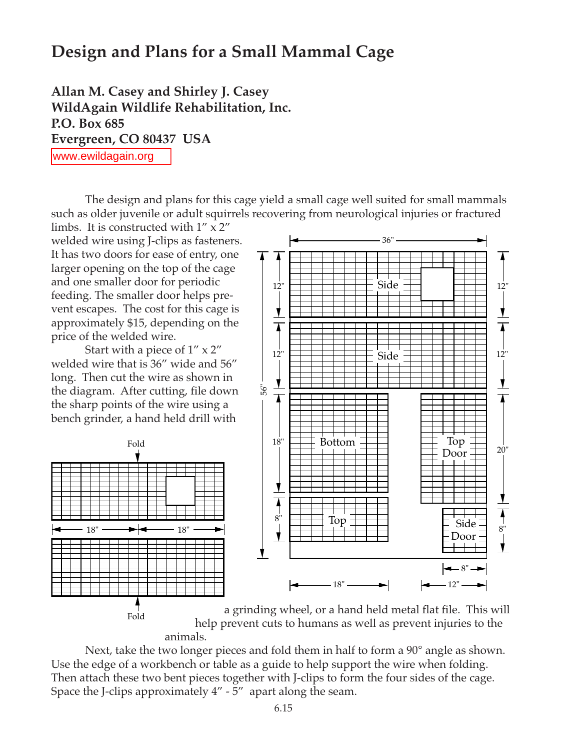## **Design and Plans for a Small Mammal Cage**

**Allan M. Casey and Shirley J. Casey WildAgain Wildlife Rehabilitation, Inc. P.O. Box 685 Evergreen, CO 80437 USA** www.ewildagain.org

The design and plans for this cage yield a small cage well suited for small mammals such as older juvenile or adult squirrels recovering from neurological injuries or fractured

limbs. It is constructed with  $1'' \times 2''$ welded wire using J-clips as fasteners. It has two doors for ease of entry, one larger opening on the top of the cage and one smaller door for periodic feeding. The smaller door helps prevent escapes. The cost for this cage is approximately \$15, depending on the price of the welded wire.

Start with a piece of 1" x 2" welded wire that is 36" wide and 56" long. Then cut the wire as shown in the diagram. After cutting, file down the sharp points of the wire using a bench grinder, a hand held drill with





a grinding wheel, or a hand held metal flat file. This will help prevent cuts to humans as well as prevent injuries to the animals.

Next, take the two longer pieces and fold them in half to form a 90° angle as shown. Use the edge of a workbench or table as a guide to help support the wire when folding. Then attach these two bent pieces together with J-clips to form the four sides of the cage. Space the J-clips approximately 4" - 5" apart along the seam.